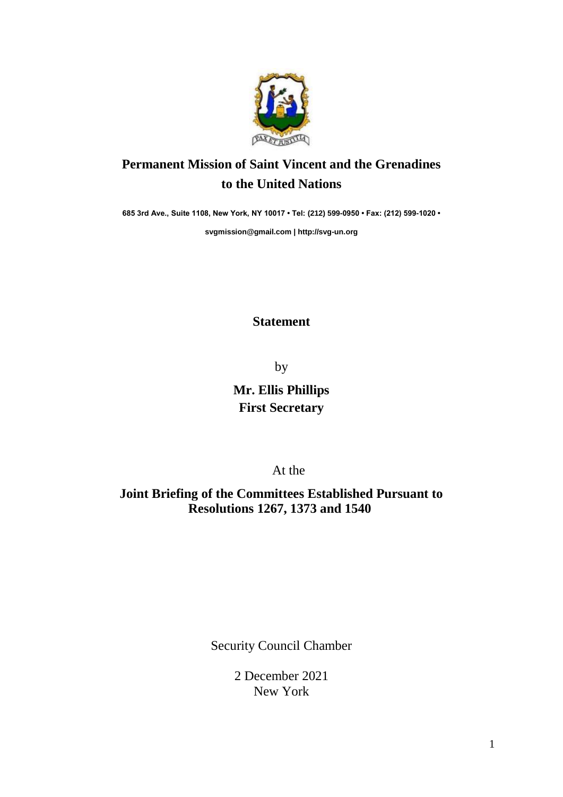

## **Permanent Mission of Saint Vincent and the Grenadines to the United Nations**

**685 3rd Ave., Suite 1108, New York, NY 10017 • Tel: (212) 599-0950 • Fax: (212) 599-1020 •** 

**[svgmission@gmail.com](mailto:svgmission@gmail.com) | [http://svg-un.org](http://svg-un.org/)**

## **Statement**

by

**Mr. Ellis Phillips First Secretary** 

At the

**Joint Briefing of the Committees Established Pursuant to Resolutions 1267, 1373 and 1540**

Security Council Chamber

2 December 2021 New York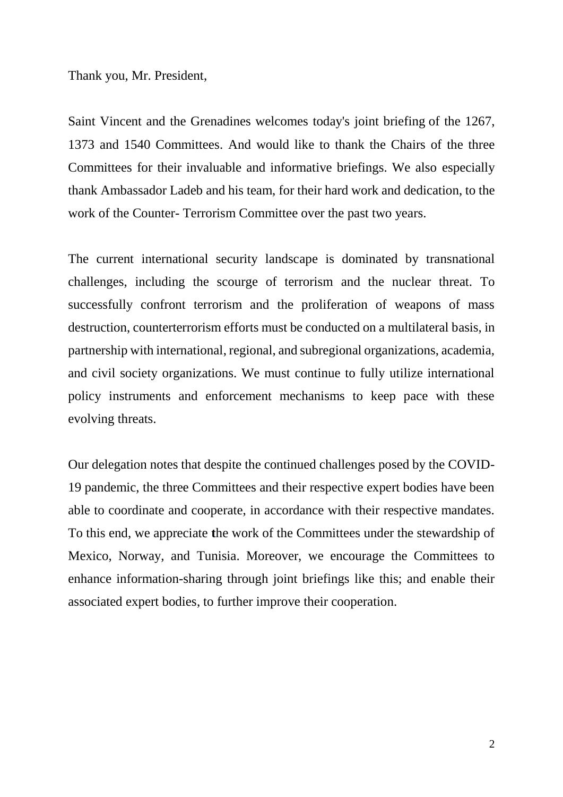Thank you, Mr. President,

Saint Vincent and the Grenadines welcomes today's joint briefing of the 1267, 1373 and 1540 Committees. And would like to thank the Chairs of the three Committees for their invaluable and informative briefings. We also especially thank Ambassador Ladeb and his team, for their hard work and dedication, to the work of the Counter- Terrorism Committee over the past two years.

The current international security landscape is dominated by transnational challenges, including the scourge of terrorism and the nuclear threat. To successfully confront terrorism and the proliferation of weapons of mass destruction, counterterrorism efforts must be conducted on a multilateral basis, in partnership with international, regional, and subregional organizations, academia, and civil society organizations. We must continue to fully utilize international policy instruments and enforcement mechanisms to keep pace with these evolving threats.

Our delegation notes that despite the continued challenges posed by the COVID-19 pandemic, the three Committees and their respective expert bodies have been able to coordinate and cooperate, in accordance with their respective mandates. To this end, we appreciate **t**he work of the Committees under the stewardship of Mexico, Norway, and Tunisia. Moreover, we encourage the Committees to enhance information-sharing through joint briefings like this; and enable their associated expert bodies, to further improve their cooperation.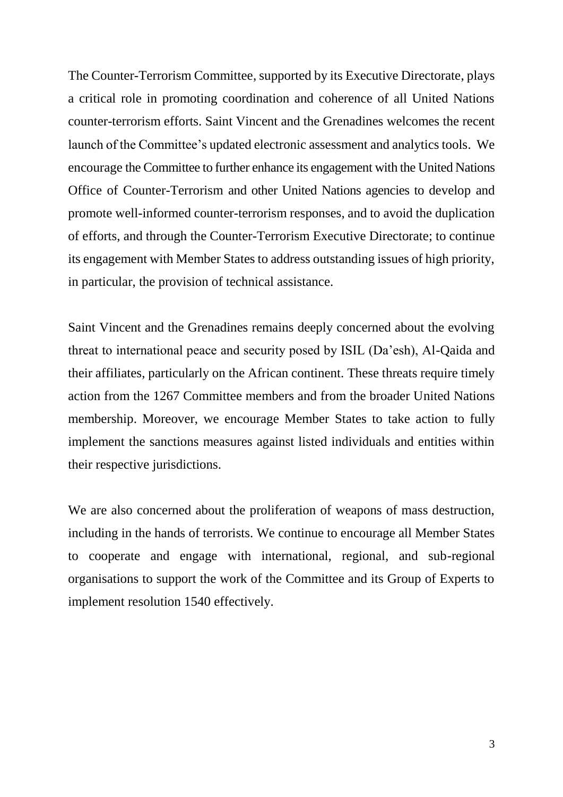The Counter-Terrorism Committee, supported by its Executive Directorate, plays a critical role in promoting coordination and coherence of all United Nations counter-terrorism efforts. Saint Vincent and the Grenadines welcomes the recent launch of the Committee's updated electronic assessment and analytics tools. We encourage the Committee to further enhance its engagement with the United Nations Office of Counter-Terrorism and other United Nations agencies to develop and promote well-informed counter-terrorism responses, and to avoid the duplication of efforts, and through the Counter-Terrorism Executive Directorate; to continue its engagement with Member States to address outstanding issues of high priority, in particular, the provision of technical assistance.

Saint Vincent and the Grenadines remains deeply concerned about the evolving threat to international peace and security posed by ISIL (Da'esh), Al-Qaida and their affiliates, particularly on the African continent. These threats require timely action from the 1267 Committee members and from the broader United Nations membership. Moreover, we encourage Member States to take action to fully implement the sanctions measures against listed individuals and entities within their respective jurisdictions.

We are also concerned about the proliferation of weapons of mass destruction, including in the hands of terrorists. We continue to encourage all Member States to cooperate and engage with international, regional, and sub-regional organisations to support the work of the Committee and its Group of Experts to implement resolution 1540 effectively.